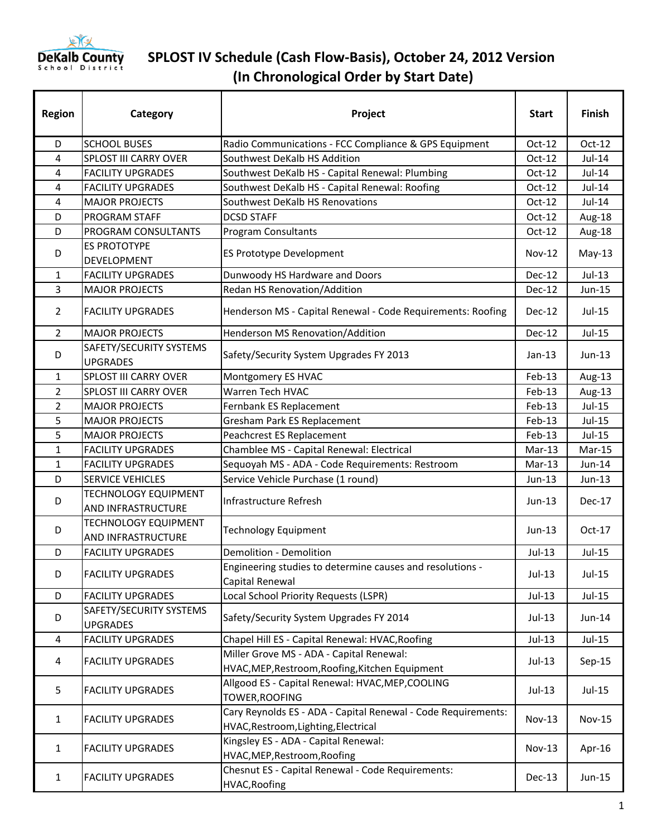

| <b>Region</b>  | Category                                          | Project                                                                                               | <b>Start</b>  | Finish        |
|----------------|---------------------------------------------------|-------------------------------------------------------------------------------------------------------|---------------|---------------|
| D              | <b>SCHOOL BUSES</b>                               | Radio Communications - FCC Compliance & GPS Equipment                                                 | $Oct-12$      | Oct-12        |
| 4              | SPLOST III CARRY OVER                             | Southwest DeKalb HS Addition                                                                          | $Oct-12$      | Jul-14        |
| 4              | <b>FACILITY UPGRADES</b>                          | Southwest DeKalb HS - Capital Renewal: Plumbing                                                       | $Oct-12$      | Jul-14        |
| 4              | <b>FACILITY UPGRADES</b>                          | Southwest DeKalb HS - Capital Renewal: Roofing                                                        | $Oct-12$      | Jul-14        |
| 4              | <b>MAJOR PROJECTS</b>                             | Southwest DeKalb HS Renovations                                                                       | $Oct-12$      | Jul-14        |
| D              | PROGRAM STAFF                                     | <b>DCSD STAFF</b>                                                                                     | $Oct-12$      | Aug-18        |
| D              | PROGRAM CONSULTANTS                               | Program Consultants                                                                                   | $Oct-12$      | Aug-18        |
| D              | <b>ES PROTOTYPE</b><br>DEVELOPMENT                | ES Prototype Development                                                                              | $Nov-12$      | $May-13$      |
| 1              | <b>FACILITY UPGRADES</b>                          | Dunwoody HS Hardware and Doors                                                                        | <b>Dec-12</b> | Jul-13        |
| 3              | <b>MAJOR PROJECTS</b>                             | Redan HS Renovation/Addition                                                                          | $Dec-12$      | Jun-15        |
| $\overline{2}$ | <b>FACILITY UPGRADES</b>                          | Henderson MS - Capital Renewal - Code Requirements: Roofing                                           | Dec-12        | $Jul-15$      |
| $\overline{2}$ | <b>MAJOR PROJECTS</b>                             | Henderson MS Renovation/Addition                                                                      | <b>Dec-12</b> | Jul-15        |
| D              | SAFETY/SECURITY SYSTEMS<br><b>UPGRADES</b>        | Safety/Security System Upgrades FY 2013                                                               | $Jan-13$      | $Jun-13$      |
| $\mathbf{1}$   | <b>SPLOST III CARRY OVER</b>                      | Montgomery ES HVAC                                                                                    | Feb-13        | Aug-13        |
| $\overline{2}$ | SPLOST III CARRY OVER                             | Warren Tech HVAC                                                                                      | Feb-13        | Aug-13        |
| $\overline{2}$ | <b>MAJOR PROJECTS</b>                             | Fernbank ES Replacement                                                                               | $Feb-13$      | Jul-15        |
| 5              | <b>MAJOR PROJECTS</b>                             | Gresham Park ES Replacement                                                                           | Feb-13        | Jul-15        |
| 5              | <b>MAJOR PROJECTS</b>                             | Peachcrest ES Replacement                                                                             | Feb-13        | Jul-15        |
| $\mathbf{1}$   | <b>FACILITY UPGRADES</b>                          | Chamblee MS - Capital Renewal: Electrical                                                             | $Mar-13$      | Mar-15        |
| $\mathbf{1}$   | <b>FACILITY UPGRADES</b>                          | Sequoyah MS - ADA - Code Requirements: Restroom                                                       | $Mar-13$      | Jun-14        |
| D              | <b>SERVICE VEHICLES</b>                           | Service Vehicle Purchase (1 round)                                                                    | $Jun-13$      | $Jun-13$      |
| D              | <b>TECHNOLOGY EQUIPMENT</b><br>AND INFRASTRUCTURE | Infrastructure Refresh                                                                                | $Jun-13$      | Dec-17        |
| D              | <b>TECHNOLOGY EQUIPMENT</b><br>AND INFRASTRUCTURE | <b>Technology Equipment</b>                                                                           | $Jun-13$      | $Oct-17$      |
| D              | <b>FACILITY UPGRADES</b>                          | Demolition - Demolition                                                                               | Jul-13        | Jul-15        |
| D              | <b>FACILITY UPGRADES</b>                          | Engineering studies to determine causes and resolutions -<br>Capital Renewal                          | $Jul-13$      | Jul-15        |
| D              | <b>FACILITY UPGRADES</b>                          | Local School Priority Requests (LSPR)                                                                 | $Jul-13$      | Jul-15        |
| D              | SAFETY/SECURITY SYSTEMS<br><b>UPGRADES</b>        | Safety/Security System Upgrades FY 2014                                                               | $Jul-13$      | Jun-14        |
| 4              | <b>FACILITY UPGRADES</b>                          | Chapel Hill ES - Capital Renewal: HVAC, Roofing                                                       | $Jul-13$      | Jul-15        |
| 4              | <b>FACILITY UPGRADES</b>                          | Miller Grove MS - ADA - Capital Renewal:<br>HVAC, MEP, Restroom, Roofing, Kitchen Equipment           | $Jul-13$      | $Sep-15$      |
| 5              | <b>FACILITY UPGRADES</b>                          | Allgood ES - Capital Renewal: HVAC, MEP, COOLING<br>TOWER, ROOFING                                    | $Jul-13$      | Jul-15        |
| $\mathbf{1}$   | <b>FACILITY UPGRADES</b>                          | Cary Reynolds ES - ADA - Capital Renewal - Code Requirements:<br>HVAC, Restroom, Lighting, Electrical | <b>Nov-13</b> | <b>Nov-15</b> |
| $\mathbf{1}$   | <b>FACILITY UPGRADES</b>                          | Kingsley ES - ADA - Capital Renewal:<br>HVAC, MEP, Restroom, Roofing                                  | $Nov-13$      | Apr-16        |
| $\mathbf{1}$   | <b>FACILITY UPGRADES</b>                          | Chesnut ES - Capital Renewal - Code Requirements:<br><b>HVAC, Roofing</b>                             | Dec-13        | Jun-15        |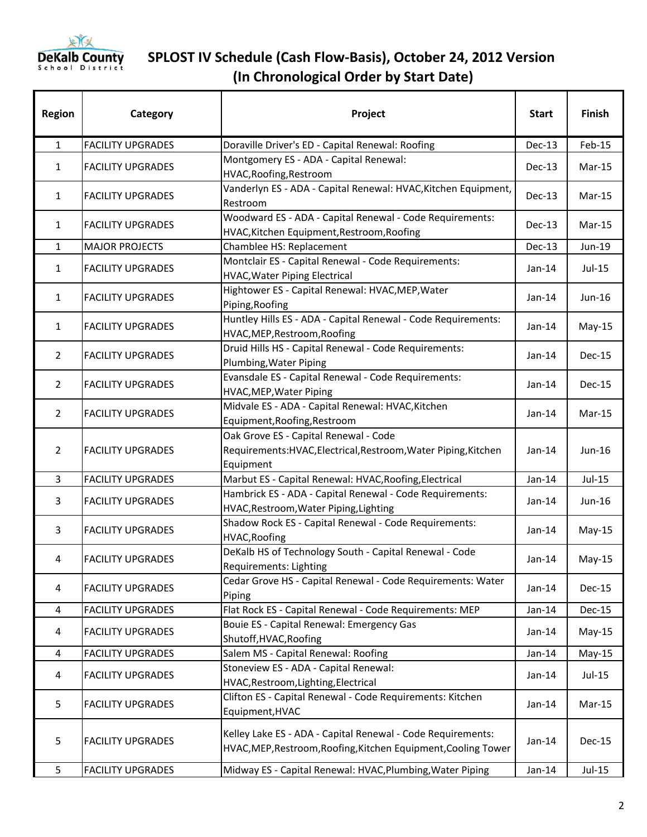

| <b>Region</b>  | Category                 | Project                                                                                                                       | <b>Start</b> | Finish        |
|----------------|--------------------------|-------------------------------------------------------------------------------------------------------------------------------|--------------|---------------|
| $\mathbf{1}$   | <b>FACILITY UPGRADES</b> | Doraville Driver's ED - Capital Renewal: Roofing                                                                              | $Dec-13$     | Feb-15        |
| 1              | <b>FACILITY UPGRADES</b> | Montgomery ES - ADA - Capital Renewal:<br>HVAC, Roofing, Restroom                                                             | $Dec-13$     | $Mar-15$      |
| $\mathbf{1}$   | <b>FACILITY UPGRADES</b> | Vanderlyn ES - ADA - Capital Renewal: HVAC, Kitchen Equipment,<br>Restroom                                                    | $Dec-13$     | $Mar-15$      |
| 1              | <b>FACILITY UPGRADES</b> | Woodward ES - ADA - Capital Renewal - Code Requirements:<br>HVAC, Kitchen Equipment, Restroom, Roofing                        | Dec-13       | Mar-15        |
| $\mathbf{1}$   | <b>MAJOR PROJECTS</b>    | Chamblee HS: Replacement                                                                                                      | Dec-13       | Jun-19        |
| $\mathbf{1}$   | <b>FACILITY UPGRADES</b> | Montclair ES - Capital Renewal - Code Requirements:<br><b>HVAC, Water Piping Electrical</b>                                   | $Jan-14$     | Jul-15        |
| 1              | <b>FACILITY UPGRADES</b> | Hightower ES - Capital Renewal: HVAC, MEP, Water<br>Piping, Roofing                                                           | $Jan-14$     | Jun-16        |
| $\mathbf{1}$   | <b>FACILITY UPGRADES</b> | Huntley Hills ES - ADA - Capital Renewal - Code Requirements:<br>HVAC, MEP, Restroom, Roofing                                 | $Jan-14$     | $May-15$      |
| $\overline{2}$ | <b>FACILITY UPGRADES</b> | Druid Hills HS - Capital Renewal - Code Requirements:<br>Plumbing, Water Piping                                               | $Jan-14$     | <b>Dec-15</b> |
| $\overline{2}$ | <b>FACILITY UPGRADES</b> | Evansdale ES - Capital Renewal - Code Requirements:<br>HVAC, MEP, Water Piping                                                | $Jan-14$     | <b>Dec-15</b> |
| $\overline{2}$ | <b>FACILITY UPGRADES</b> | Midvale ES - ADA - Capital Renewal: HVAC, Kitchen<br>Equipment, Roofing, Restroom                                             | $Jan-14$     | $Mar-15$      |
| 2              | <b>FACILITY UPGRADES</b> | Oak Grove ES - Capital Renewal - Code<br>Requirements: HVAC, Electrical, Restroom, Water Piping, Kitchen<br>Equipment         | $Jan-14$     | Jun-16        |
| $\overline{3}$ | <b>FACILITY UPGRADES</b> | Marbut ES - Capital Renewal: HVAC, Roofing, Electrical                                                                        | $Jan-14$     | Jul-15        |
| 3              | <b>FACILITY UPGRADES</b> | Hambrick ES - ADA - Capital Renewal - Code Requirements:<br>HVAC, Restroom, Water Piping, Lighting                            | Jan-14       | Jun-16        |
| 3              | <b>FACILITY UPGRADES</b> | Shadow Rock ES - Capital Renewal - Code Requirements:<br>HVAC, Roofing                                                        | $Jan-14$     | $May-15$      |
| 4              | <b>FACILITY UPGRADES</b> | DeKalb HS of Technology South - Capital Renewal - Code<br>Requirements: Lighting                                              | Jan-14       | $May-15$      |
| 4              | <b>FACILITY UPGRADES</b> | Cedar Grove HS - Capital Renewal - Code Requirements: Water<br>Piping                                                         | Jan-14       | Dec-15        |
| 4              | <b>FACILITY UPGRADES</b> | Flat Rock ES - Capital Renewal - Code Requirements: MEP                                                                       | $Jan-14$     | <b>Dec-15</b> |
| 4              | <b>FACILITY UPGRADES</b> | Bouie ES - Capital Renewal: Emergency Gas<br>Shutoff, HVAC, Roofing                                                           | Jan-14       | $May-15$      |
| $\overline{4}$ | <b>FACILITY UPGRADES</b> | Salem MS - Capital Renewal: Roofing                                                                                           | $Jan-14$     | $May-15$      |
| 4              | <b>FACILITY UPGRADES</b> | Stoneview ES - ADA - Capital Renewal:<br>HVAC, Restroom, Lighting, Electrical                                                 | Jan-14       | Jul-15        |
| 5              | <b>FACILITY UPGRADES</b> | Clifton ES - Capital Renewal - Code Requirements: Kitchen<br>Equipment, HVAC                                                  | $Jan-14$     | Mar-15        |
| 5              | <b>FACILITY UPGRADES</b> | Kelley Lake ES - ADA - Capital Renewal - Code Requirements:<br>HVAC, MEP, Restroom, Roofing, Kitchen Equipment, Cooling Tower | Jan-14       | Dec-15        |
| 5              | <b>FACILITY UPGRADES</b> | Midway ES - Capital Renewal: HVAC, Plumbing, Water Piping                                                                     | $Jan-14$     | Jul-15        |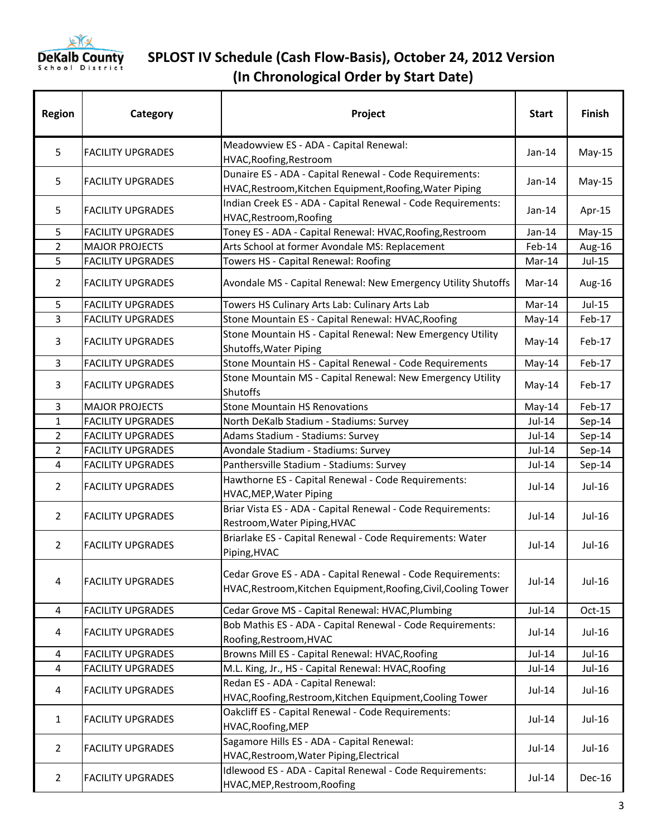

| <b>Region</b>  | Category                 | Project                                                                              | <b>Start</b> | <b>Finish</b> |
|----------------|--------------------------|--------------------------------------------------------------------------------------|--------------|---------------|
| 5              |                          | Meadowview ES - ADA - Capital Renewal:                                               | $Jan-14$     |               |
|                | <b>FACILITY UPGRADES</b> | HVAC, Roofing, Restroom                                                              |              | $May-15$      |
| 5              | <b>FACILITY UPGRADES</b> | Dunaire ES - ADA - Capital Renewal - Code Requirements:                              | $Jan-14$     | $May-15$      |
|                |                          | HVAC, Restroom, Kitchen Equipment, Roofing, Water Piping                             |              |               |
| 5              | <b>FACILITY UPGRADES</b> | Indian Creek ES - ADA - Capital Renewal - Code Requirements:                         | Jan-14       | Apr-15        |
|                |                          | HVAC, Restroom, Roofing                                                              |              |               |
| 5              | <b>FACILITY UPGRADES</b> | Toney ES - ADA - Capital Renewal: HVAC, Roofing, Restroom                            | $Jan-14$     | $May-15$      |
| $\overline{2}$ | <b>MAJOR PROJECTS</b>    | Arts School at former Avondale MS: Replacement                                       | Feb-14       | Aug-16        |
| 5              | <b>FACILITY UPGRADES</b> | Towers HS - Capital Renewal: Roofing                                                 | Mar-14       | Jul-15        |
| $\overline{2}$ | <b>FACILITY UPGRADES</b> | Avondale MS - Capital Renewal: New Emergency Utility Shutoffs                        | Mar-14       | Aug-16        |
| 5              | <b>FACILITY UPGRADES</b> | Towers HS Culinary Arts Lab: Culinary Arts Lab                                       | Mar-14       | $Jul-15$      |
| 3              | <b>FACILITY UPGRADES</b> | Stone Mountain ES - Capital Renewal: HVAC, Roofing                                   | May-14       | Feb-17        |
| 3              | <b>FACILITY UPGRADES</b> | Stone Mountain HS - Capital Renewal: New Emergency Utility<br>Shutoffs, Water Piping | May-14       | Feb-17        |
| $\overline{3}$ | <b>FACILITY UPGRADES</b> | Stone Mountain HS - Capital Renewal - Code Requirements                              | May-14       | Feb-17        |
|                |                          | Stone Mountain MS - Capital Renewal: New Emergency Utility                           |              |               |
| 3              | <b>FACILITY UPGRADES</b> | <b>Shutoffs</b>                                                                      | May-14       | Feb-17        |
| 3              | <b>MAJOR PROJECTS</b>    | <b>Stone Mountain HS Renovations</b>                                                 | May-14       | Feb-17        |
| $\mathbf{1}$   | <b>FACILITY UPGRADES</b> | North DeKalb Stadium - Stadiums: Survey                                              | $Jul-14$     | Sep-14        |
| $\overline{2}$ | <b>FACILITY UPGRADES</b> | Adams Stadium - Stadiums: Survey                                                     | $Jul-14$     | Sep-14        |
| $\overline{2}$ | <b>FACILITY UPGRADES</b> | Avondale Stadium - Stadiums: Survey                                                  | Jul-14       | Sep-14        |
| $\overline{4}$ | <b>FACILITY UPGRADES</b> | Panthersville Stadium - Stadiums: Survey                                             | $Jul-14$     | Sep-14        |
|                | <b>FACILITY UPGRADES</b> | Hawthorne ES - Capital Renewal - Code Requirements:                                  | Jul-14       | Jul-16        |
| $\overline{2}$ |                          | <b>HVAC, MEP, Water Piping</b>                                                       |              |               |
|                | <b>FACILITY UPGRADES</b> | Briar Vista ES - ADA - Capital Renewal - Code Requirements:                          | $Jul-14$     | $Jul-16$      |
| $\overline{2}$ |                          | Restroom, Water Piping, HVAC                                                         |              |               |
|                | <b>FACILITY UPGRADES</b> | Briarlake ES - Capital Renewal - Code Requirements: Water                            |              |               |
| $\overline{2}$ |                          | Piping, HVAC                                                                         | $Jul-14$     | $Jul-16$      |
|                | <b>FACILITY UPGRADES</b> |                                                                                      | $Jul-14$     |               |
| 4              |                          | Cedar Grove ES - ADA - Capital Renewal - Code Requirements:                          |              | Jul-16        |
|                |                          | HVAC, Restroom, Kitchen Equipment, Roofing, Civil, Cooling Tower                     |              |               |
| 4              | <b>FACILITY UPGRADES</b> | Cedar Grove MS - Capital Renewal: HVAC, Plumbing                                     | $Jul-14$     | Oct-15        |
|                |                          | Bob Mathis ES - ADA - Capital Renewal - Code Requirements:                           |              |               |
| 4              | <b>FACILITY UPGRADES</b> | Roofing, Restroom, HVAC                                                              | Jul-14       | Jul-16        |
| 4              | <b>FACILITY UPGRADES</b> | Browns Mill ES - Capital Renewal: HVAC, Roofing                                      | $Jul-14$     | Jul-16        |
| 4              | <b>FACILITY UPGRADES</b> | M.L. King, Jr., HS - Capital Renewal: HVAC, Roofing                                  | Jul-14       | Jul-16        |
|                |                          | Redan ES - ADA - Capital Renewal:                                                    |              | Jul-16        |
| 4              | <b>FACILITY UPGRADES</b> | HVAC, Roofing, Restroom, Kitchen Equipment, Cooling Tower                            | Jul-14       |               |
| $\mathbf{1}$   |                          | Oakcliff ES - Capital Renewal - Code Requirements:                                   |              |               |
|                | <b>FACILITY UPGRADES</b> | HVAC, Roofing, MEP                                                                   | $Jul-14$     | Jul-16        |
| $\overline{2}$ | <b>FACILITY UPGRADES</b> | Sagamore Hills ES - ADA - Capital Renewal:                                           | $Jul-14$     |               |
|                |                          | HVAC, Restroom, Water Piping, Electrical                                             |              | Jul-16        |
|                | <b>FACILITY UPGRADES</b> | Idlewood ES - ADA - Capital Renewal - Code Requirements:                             | Jul-14       | Dec-16        |
| $\overline{2}$ |                          | HVAC, MEP, Restroom, Roofing                                                         |              |               |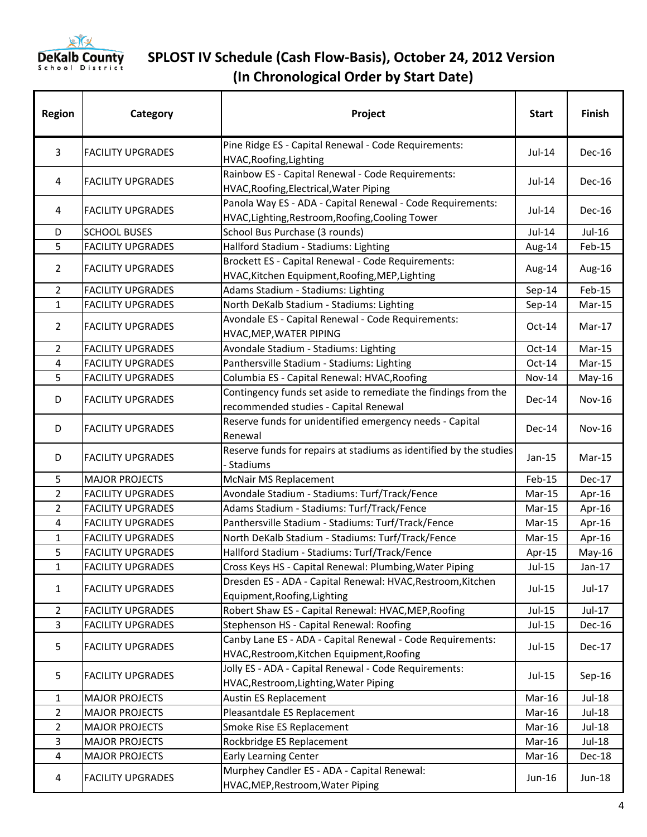

| <b>Region</b>  | Category                                       | Project                                                                                                        | <b>Start</b>     | Finish        |
|----------------|------------------------------------------------|----------------------------------------------------------------------------------------------------------------|------------------|---------------|
| 3              | <b>FACILITY UPGRADES</b>                       | Pine Ridge ES - Capital Renewal - Code Requirements:<br>HVAC, Roofing, Lighting                                | Jul-14           | Dec-16        |
| 4              | <b>FACILITY UPGRADES</b>                       | Rainbow ES - Capital Renewal - Code Requirements:<br>HVAC, Roofing, Electrical, Water Piping                   | Jul-14           | Dec-16        |
| 4              | <b>FACILITY UPGRADES</b>                       | Panola Way ES - ADA - Capital Renewal - Code Requirements:<br>HVAC, Lighting, Restroom, Roofing, Cooling Tower | $Jul-14$         | Dec-16        |
| D              | <b>SCHOOL BUSES</b>                            | School Bus Purchase (3 rounds)                                                                                 | Jul-14           | Jul-16        |
| 5              | <b>FACILITY UPGRADES</b>                       | Hallford Stadium - Stadiums: Lighting                                                                          | Aug-14           | Feb-15        |
| 2              | <b>FACILITY UPGRADES</b>                       | Brockett ES - Capital Renewal - Code Requirements:<br>HVAC, Kitchen Equipment, Roofing, MEP, Lighting          | Aug-14           | Aug-16        |
| $\overline{2}$ | <b>FACILITY UPGRADES</b>                       | Adams Stadium - Stadiums: Lighting                                                                             | Sep-14           | Feb-15        |
| $\mathbf{1}$   | <b>FACILITY UPGRADES</b>                       | North DeKalb Stadium - Stadiums: Lighting                                                                      | Sep-14           | Mar-15        |
| $\overline{2}$ | <b>FACILITY UPGRADES</b>                       | Avondale ES - Capital Renewal - Code Requirements:<br>HVAC, MEP, WATER PIPING                                  | $Oct-14$         | Mar-17        |
| $\overline{2}$ | <b>FACILITY UPGRADES</b>                       | Avondale Stadium - Stadiums: Lighting                                                                          | Oct-14           | Mar-15        |
| $\overline{4}$ | <b>FACILITY UPGRADES</b>                       | Panthersville Stadium - Stadiums: Lighting                                                                     | $Oct-14$         | Mar-15        |
| 5              | <b>FACILITY UPGRADES</b>                       | Columbia ES - Capital Renewal: HVAC, Roofing                                                                   | <b>Nov-14</b>    | May-16        |
| D              | <b>FACILITY UPGRADES</b>                       | Contingency funds set aside to remediate the findings from the<br>recommended studies - Capital Renewal        | Dec-14           | Nov-16        |
| D              | <b>FACILITY UPGRADES</b>                       | Reserve funds for unidentified emergency needs - Capital<br>Renewal                                            | Dec-14           | <b>Nov-16</b> |
| D              | <b>FACILITY UPGRADES</b>                       | Reserve funds for repairs at stadiums as identified by the studies<br>- Stadiums                               | $Jan-15$         | $Mar-15$      |
| 5              | <b>MAJOR PROJECTS</b>                          | McNair MS Replacement                                                                                          | Feb-15           | <b>Dec-17</b> |
| $\overline{2}$ | <b>FACILITY UPGRADES</b>                       | Avondale Stadium - Stadiums: Turf/Track/Fence                                                                  | $Mar-15$         | Apr-16        |
| 2              | <b>FACILITY UPGRADES</b>                       | Adams Stadium - Stadiums: Turf/Track/Fence                                                                     | $Mar-15$         | Apr-16        |
| 4              | <b>FACILITY UPGRADES</b>                       | Panthersville Stadium - Stadiums: Turf/Track/Fence                                                             | $Mar-15$         | Apr-16        |
| $\mathbf{1}$   | <b>FACILITY UPGRADES</b>                       | North DeKalb Stadium - Stadiums: Turf/Track/Fence                                                              | Mar-15           | Apr-16        |
| 5              | <b>FACILITY UPGRADES</b>                       | Hallford Stadium - Stadiums: Turf/Track/Fence                                                                  | Apr-15           | $May-16$      |
| $\mathbf{1}$   | <b>FACILITY UPGRADES</b>                       | Cross Keys HS - Capital Renewal: Plumbing, Water Piping                                                        | $Jul-15$         | $Jan-17$      |
| $\mathbf{1}$   | <b>FACILITY UPGRADES</b>                       | Dresden ES - ADA - Capital Renewal: HVAC, Restroom, Kitchen<br>Equipment, Roofing, Lighting                    | Jul-15           | Jul-17        |
| 2              | <b>FACILITY UPGRADES</b>                       | Robert Shaw ES - Capital Renewal: HVAC, MEP, Roofing                                                           | Jul-15           | Jul-17        |
| $\overline{3}$ | <b>FACILITY UPGRADES</b>                       | Stephenson HS - Capital Renewal: Roofing                                                                       | Jul-15           | Dec-16        |
| 5              | <b>FACILITY UPGRADES</b>                       | Canby Lane ES - ADA - Capital Renewal - Code Requirements:<br>HVAC, Restroom, Kitchen Equipment, Roofing       | Jul-15           | Dec-17        |
| 5              | <b>FACILITY UPGRADES</b>                       | Jolly ES - ADA - Capital Renewal - Code Requirements:<br>HVAC, Restroom, Lighting, Water Piping                | $Jul-15$         | $Sep-16$      |
| 1              | <b>MAJOR PROJECTS</b>                          | Austin ES Replacement                                                                                          | Mar-16           | Jul-18        |
| $\overline{2}$ | <b>MAJOR PROJECTS</b>                          | Pleasantdale ES Replacement                                                                                    | Mar-16           | Jul-18        |
| $\overline{2}$ | <b>MAJOR PROJECTS</b>                          | Smoke Rise ES Replacement                                                                                      | Mar-16           | Jul-18        |
|                |                                                |                                                                                                                |                  | Jul-18        |
|                |                                                |                                                                                                                |                  | Dec-18        |
| 4              | <b>FACILITY UPGRADES</b>                       | Murphey Candler ES - ADA - Capital Renewal:                                                                    | Jun-16           | Jun-18        |
| 3<br>4         | <b>MAJOR PROJECTS</b><br><b>MAJOR PROJECTS</b> | Rockbridge ES Replacement<br><b>Early Learning Center</b><br>HVAC, MEP, Restroom, Water Piping                 | Mar-16<br>Mar-16 |               |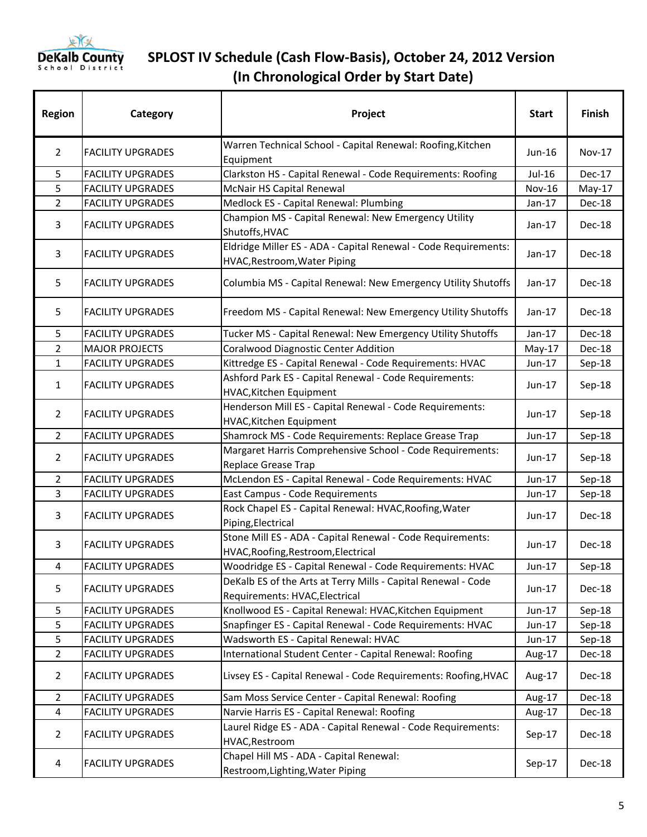

| <b>Region</b>  | Category                 | Project                                                                                           | <b>Start</b> | <b>Finish</b> |
|----------------|--------------------------|---------------------------------------------------------------------------------------------------|--------------|---------------|
| $\overline{2}$ | <b>FACILITY UPGRADES</b> | Warren Technical School - Capital Renewal: Roofing, Kitchen<br>Equipment                          | Jun-16       | <b>Nov-17</b> |
| 5              | <b>FACILITY UPGRADES</b> | Clarkston HS - Capital Renewal - Code Requirements: Roofing                                       | Jul-16       | Dec-17        |
| 5              | <b>FACILITY UPGRADES</b> | McNair HS Capital Renewal                                                                         | Nov-16       | $May-17$      |
| $\overline{2}$ | <b>FACILITY UPGRADES</b> | Medlock ES - Capital Renewal: Plumbing                                                            | $Jan-17$     | Dec-18        |
| 3              | <b>FACILITY UPGRADES</b> | Champion MS - Capital Renewal: New Emergency Utility<br>Shutoffs, HVAC                            | $Jan-17$     | Dec-18        |
| 3              | <b>FACILITY UPGRADES</b> | Eldridge Miller ES - ADA - Capital Renewal - Code Requirements:<br>HVAC, Restroom, Water Piping   | $Jan-17$     | Dec-18        |
| 5              | <b>FACILITY UPGRADES</b> | Columbia MS - Capital Renewal: New Emergency Utility Shutoffs                                     | $Jan-17$     | Dec-18        |
| 5              | <b>FACILITY UPGRADES</b> | Freedom MS - Capital Renewal: New Emergency Utility Shutoffs                                      | $Jan-17$     | Dec-18        |
| 5              | <b>FACILITY UPGRADES</b> | Tucker MS - Capital Renewal: New Emergency Utility Shutoffs                                       | $Jan-17$     | Dec-18        |
| $\overline{2}$ | <b>MAJOR PROJECTS</b>    | Coralwood Diagnostic Center Addition                                                              | $May-17$     | Dec-18        |
| $\mathbf{1}$   | <b>FACILITY UPGRADES</b> | Kittredge ES - Capital Renewal - Code Requirements: HVAC                                          | Jun-17       | Sep-18        |
| $\mathbf{1}$   | <b>FACILITY UPGRADES</b> | Ashford Park ES - Capital Renewal - Code Requirements:<br>HVAC, Kitchen Equipment                 | Jun-17       | Sep-18        |
| $\overline{2}$ | <b>FACILITY UPGRADES</b> | Henderson Mill ES - Capital Renewal - Code Requirements:<br>HVAC, Kitchen Equipment               | Jun-17       | Sep-18        |
| $\overline{2}$ | <b>FACILITY UPGRADES</b> | Shamrock MS - Code Requirements: Replace Grease Trap                                              | Jun-17       | Sep-18        |
| $\overline{2}$ | <b>FACILITY UPGRADES</b> | Margaret Harris Comprehensive School - Code Requirements:<br>Replace Grease Trap                  | $Jun-17$     | Sep-18        |
| $\overline{2}$ | <b>FACILITY UPGRADES</b> | McLendon ES - Capital Renewal - Code Requirements: HVAC                                           | Jun-17       | Sep-18        |
| 3              | <b>FACILITY UPGRADES</b> | East Campus - Code Requirements                                                                   | Jun-17       | Sep-18        |
| 3              | <b>FACILITY UPGRADES</b> | Rock Chapel ES - Capital Renewal: HVAC, Roofing, Water<br>Piping, Electrical                      | Jun-17       | Dec-18        |
| 3              | <b>FACILITY UPGRADES</b> | Stone Mill ES - ADA - Capital Renewal - Code Requirements:<br>HVAC, Roofing, Restroom, Electrical | Jun-17       | Dec-18        |
| 4              | <b>FACILITY UPGRADES</b> | Woodridge ES - Capital Renewal - Code Requirements: HVAC                                          | Jun-17       | Sep-18        |
| 5              | <b>FACILITY UPGRADES</b> | DeKalb ES of the Arts at Terry Mills - Capital Renewal - Code<br>Requirements: HVAC, Electrical   | Jun-17       | Dec-18        |
| 5              | <b>FACILITY UPGRADES</b> | Knollwood ES - Capital Renewal: HVAC, Kitchen Equipment                                           | Jun-17       | Sep-18        |
| 5              | <b>FACILITY UPGRADES</b> | Snapfinger ES - Capital Renewal - Code Requirements: HVAC                                         | Jun-17       | Sep-18        |
| 5              | <b>FACILITY UPGRADES</b> | Wadsworth ES - Capital Renewal: HVAC                                                              | Jun-17       | Sep-18        |
| 2              | <b>FACILITY UPGRADES</b> | International Student Center - Capital Renewal: Roofing                                           | Aug-17       | Dec-18        |
| $\overline{2}$ | <b>FACILITY UPGRADES</b> | Livsey ES - Capital Renewal - Code Requirements: Roofing, HVAC                                    | Aug-17       | Dec-18        |
| 2              | <b>FACILITY UPGRADES</b> | Sam Moss Service Center - Capital Renewal: Roofing                                                | Aug-17       | Dec-18        |
| 4              | <b>FACILITY UPGRADES</b> | Narvie Harris ES - Capital Renewal: Roofing                                                       | Aug-17       | Dec-18        |
| $\overline{2}$ | <b>FACILITY UPGRADES</b> | Laurel Ridge ES - ADA - Capital Renewal - Code Requirements:<br>HVAC, Restroom                    | $Sep-17$     | Dec-18        |
| 4              | <b>FACILITY UPGRADES</b> | Chapel Hill MS - ADA - Capital Renewal:<br>Restroom, Lighting, Water Piping                       | $Sep-17$     | Dec-18        |